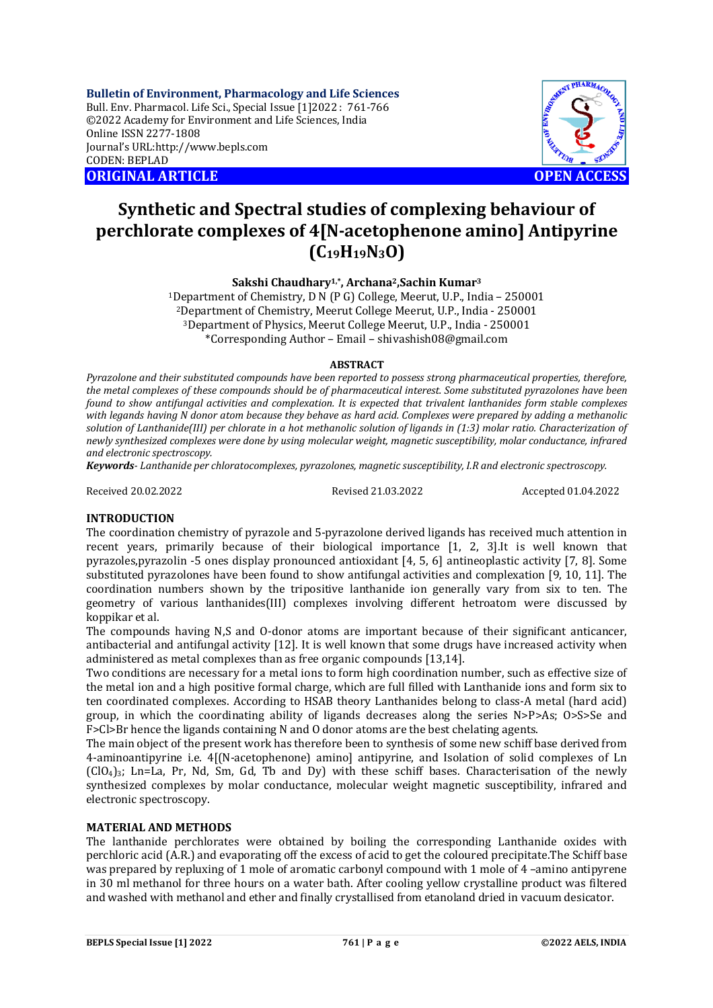**Bulletin of Environment, Pharmacology and Life Sciences** Bull. Env. Pharmacol. Life Sci., Special Issue [1]2022 : 761-766 ©2022 Academy for Environment and Life Sciences, India Online ISSN 2277-1808 Journal's URL:<http://www.bepls.com> CODEN: BEPLAD **ORIGINAL ARTICLE OPEN ACCESS** 



# **Synthetic and Spectral studies of complexing behaviour of perchlorate complexes of 4[N-acetophenone amino] Antipyrine (C19H19N3O)**

**Sakshi Chaudhary1,\*, Archana2,Sachin Kumar<sup>3</sup>**

Department of Chemistry, D N (P G) College, Meerut, U.P., India – 250001 Department of Chemistry, Meerut College Meerut, U.P., India - 250001 Department of Physics, Meerut College Meerut, U.P., India - 250001 \*Corresponding Author – Email – [shivashish08@gmail.com](mailto:shivashish08@gmail.com)

### **ABSTRACT**

*Pyrazolone and their substituted compounds have been reported to possess strong pharmaceutical properties, therefore, the metal complexes of these compounds should be of pharmaceutical interest. Some substituted pyrazolones have been found to show antifungal activities and complexation. It is expected that trivalent lanthanides form stable complexes with legands having N donor atom because they behave as hard acid. Complexes were prepared by adding a methanolic solution of Lanthanide(III) per chlorate in a hot methanolic solution of ligands in (1:3) molar ratio. Characterization of newly synthesized complexes were done by using molecular weight, magnetic susceptibility, molar conductance, infrared and electronic spectroscopy.*

*Keywords- Lanthanide per chloratocomplexes, pyrazolones, magnetic susceptibility, I.R and electronic spectroscopy.*

Received 20.02.2022 Revised 21.03.2022 Accepted 01.04.2022

### **INTRODUCTION**

The coordination chemistry of pyrazole and 5-pyrazolone derived ligands has received much attention in recent years, primarily because of their biological importance [1, 2, 3].It is well known that pyrazoles,pyrazolin -5 ones display pronounced antioxidant [4, 5, 6] antineoplastic activity [7, 8]. Some substituted pyrazolones have been found to show antifungal activities and complexation [9, 10, 11]. The coordination numbers shown by the tripositive lanthanide ion generally vary from six to ten. The geometry of various lanthanides(III) complexes involving different hetroatom were discussed by koppikar et al.

The compounds having N,S and O-donor atoms are important because of their significant anticancer, antibacterial and antifungal activity [12]. It is well known that some drugs have increased activity when administered as metal complexes than as free organic compounds [13,14].

Two conditions are necessary for a metal ions to form high coordination number, such as effective size of the metal ion and a high positive formal charge, which are full filled with Lanthanide ions and form six to ten coordinated complexes. According to HSAB theory Lanthanides belong to class-A metal (hard acid) group, in which the coordinating ability of ligands decreases along the series N>P>As; O>S>Se and F>Cl>Br hence the ligands containing N and O donor atoms are the best chelating agents.

The main object of the present work has therefore been to synthesis of some new schiff base derived from 4-aminoantipyrine i.e. 4[(N-acetophenone) amino] antipyrine, and Isolation of solid complexes of Ln  $(ClO<sub>4</sub>)<sub>3</sub>$ ; Ln=La, Pr, Nd, Sm, Gd, Tb and Dy) with these schiff bases. Characterisation of the newly synthesized complexes by molar conductance, molecular weight magnetic susceptibility, infrared and electronic spectroscopy.

### **MATERIAL AND METHODS**

The lanthanide perchlorates were obtained by boiling the corresponding Lanthanide oxides with perchloric acid (A.R.) and evaporating off the excess of acid to get the coloured precipitate.The Schiff base was prepared by repluxing of 1 mole of aromatic carbonyl compound with 1 mole of 4 –amino antipyrene in 30 ml methanol for three hours on a water bath. After cooling yellow crystalline product was filtered and washed with methanol and ether and finally crystallised from etanoland dried in vacuum desicator.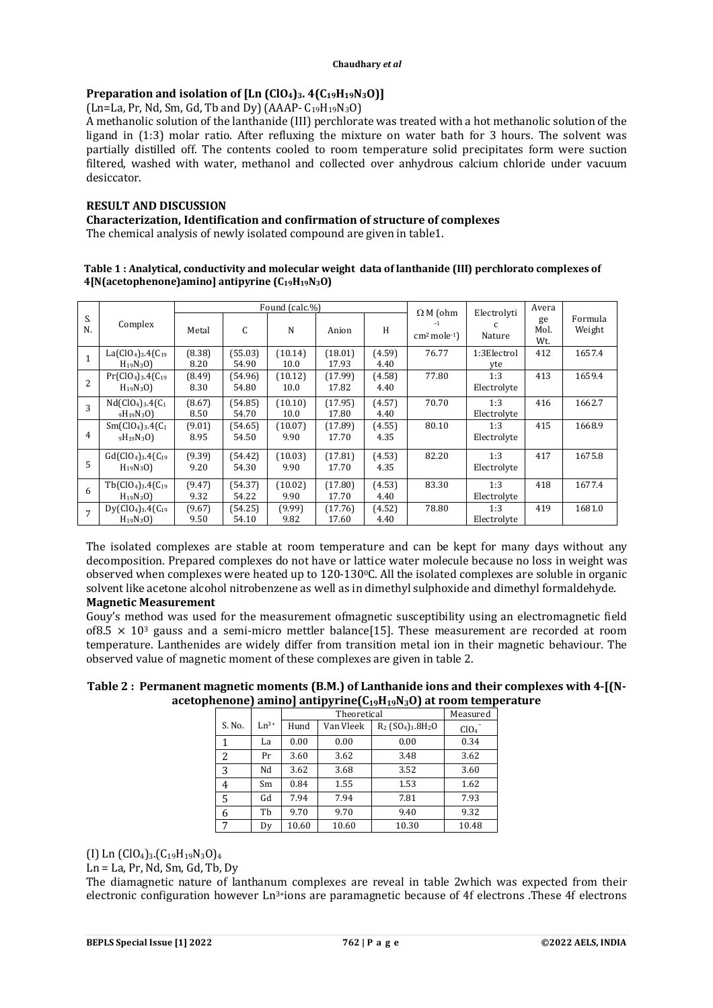# **Preparation and isolation of [Ln (ClO4)3. 4(C19H19N3O)]**

 $(Ln=La, Pr, Nd, Sm, Gd, Tb and Dy) (AAAP-C<sub>19</sub>H<sub>19</sub>N<sub>3</sub>O)$ 

A methanolic solution of the lanthanide (III) perchlorate was treated with a hot methanolic solution of the ligand in (1:3) molar ratio. After refluxing the mixture on water bath for 3 hours. The solvent was partially distilled off. The contents cooled to room temperature solid precipitates form were suction filtered, washed with water, methanol and collected over anhydrous calcium chloride under vacuum desiccator.

# **RESULT AND DISCUSSION**

**Characterization, Identification and confirmation of structure of complexes**

The chemical analysis of newly isolated compound are given in table1.

### **Table 1 : Analytical, conductivity and molecular weight data of lanthanide (III) perchlorato complexes of 4[N(acetophenone)amino] antipyrine (C19H19N3O)**

|                |                                       |                |                  | Found (calc.%)  |                  |                | $\Omega$ M (ohm<br>Electrolyti |                    | Avera             |                   |
|----------------|---------------------------------------|----------------|------------------|-----------------|------------------|----------------|--------------------------------|--------------------|-------------------|-------------------|
| S.<br>N.       | Complex                               | Metal          | C                | N               | Anion            | H              | $-1$<br>$cm2 mole-1$ )         | c<br>Nature        | ge<br>Mol.<br>Wt. | Formula<br>Weight |
| $\mathbf{1}$   | $La(C104)3.4(C19)$<br>$H_{19}N_{3}O$  | (8.38)<br>8.20 | (55.03)<br>54.90 | (10.14)<br>10.0 | (18.01)<br>17.93 | (4.59)<br>4.40 | 76.77                          | 1:3Electrol<br>yte | 412               | 1657.4            |
| $\overline{2}$ | $Pr(C104)3$ .4( $C19$<br>$H_{19}N_3O$ | (8.49)<br>8.30 | (54.96)<br>54.80 | (10.12)<br>10.0 | (17.99)<br>17.82 | (4.58)<br>4.40 | 77.80                          | 1:3<br>Electrolyte | 413               | 1659.4            |
| 3              | $Nd(CIO4)3.4(C1)$<br>$9H_19N_3O$      | (8.67)<br>8.50 | (54.85)<br>54.70 | (10.10)<br>10.0 | (17.95)<br>17.80 | (4.57)<br>4.40 | 70.70                          | 1:3<br>Electrolyte | 416               | 1662.7            |
| 4              | $Sm(ClO4)3.4(C1)$<br>$9H_19N_3O$      | (9.01)<br>8.95 | (54.65)<br>54.50 | (10.07)<br>9.90 | (17.89)<br>17.70 | (4.55)<br>4.35 | 80.10                          | 1:3<br>Electrolyte | 415               | 1668.9            |
| 5              | $Gd(C1O4)3.4(C19)$<br>$H_{19}N_3O$    | (9.39)<br>9.20 | (54.42)<br>54.30 | (10.03)<br>9.90 | (17.81)<br>17.70 | (4.53)<br>4.35 | 82.20                          | 1:3<br>Electrolyte | 417               | 1675.8            |
| 6              | $Tb(C104)3.4(C19)$<br>$H_{19}N_{3}O$  | (9.47)<br>9.32 | (54.37)<br>54.22 | (10.02)<br>9.90 | (17.80)<br>17.70 | (4.53)<br>4.40 | 83.30                          | 1:3<br>Electrolyte | 418               | 1677.4            |
| $\overline{7}$ | $Dy(C104)3.4(C19)$<br>$H_{19}N_{3}O$  | (9.67)<br>9.50 | (54.25)<br>54.10 | (9.99)<br>9.82  | (17.76)<br>17.60 | (4.52)<br>4.40 | 78.80                          | 1:3<br>Electrolyte | 419               | 1681.0            |

The isolated complexes are stable at room temperature and can be kept for many days without any decomposition. Prepared complexes do not have or lattice water molecule because no loss in weight was observed when complexes were heated up to 120-1300C. All the isolated complexes are soluble in organic solvent like acetone alcohol nitrobenzene as well as in dimethyl sulphoxide and dimethyl formaldehyde.

# **Magnetic Measurement**

Gouy's method was used for the measurement ofmagnetic susceptibility using an electromagnetic field of8.5  $\times$  10<sup>3</sup> gauss and a semi-micro mettler balance[15]. These measurement are recorded at room temperature. Lanthenides are widely differ from transition metal ion in their magnetic behaviour. The observed value of magnetic moment of these complexes are given in table 2.

# **Table 2 : Permanent magnetic moments (B.M.) of Lanthanide ions and their complexes with 4-[(Nacetophenone) amino] antipyrine(C19H19N3O) at room temperature**

|                |           |       | Measured  |                                                          |                  |
|----------------|-----------|-------|-----------|----------------------------------------------------------|------------------|
| S. No.         | $Ln^{3+}$ | Hund  | Van Vleek | $R_2$ (SO <sub>4</sub> ) <sub>3</sub> .8H <sub>2</sub> O | ClO <sub>4</sub> |
| 1              | La        | 0.00  | 0.00      | 0.00                                                     | 0.34             |
| $\overline{2}$ | Pr        | 3.60  | 3.62      | 3.48                                                     | 3.62             |
| 3              | Nd        | 3.62  | 3.68      | 3.52                                                     | 3.60             |
| 4              | Sm        | 0.84  | 1.55      | 1.53                                                     | 1.62             |
| 5              | Gd        | 7.94  | 7.94      | 7.81                                                     | 7.93             |
| 6              | Tb        | 9.70  | 9.70      | 9.40                                                     | 9.32             |
| 7              | Dv        | 10.60 | 10.60     | 10.30                                                    | 10.48            |

(I) Ln  $(C10<sub>4</sub>)<sub>3</sub>$ . $(C_{19}H_{19}N_3O)<sub>4</sub>$ 

Ln = La, Pr, Nd, Sm, Gd, Tb, Dy

The diamagnetic nature of lanthanum complexes are reveal in table 2which was expected from their electronic configuration however Ln3+ions are paramagnetic because of 4f electrons .These 4f electrons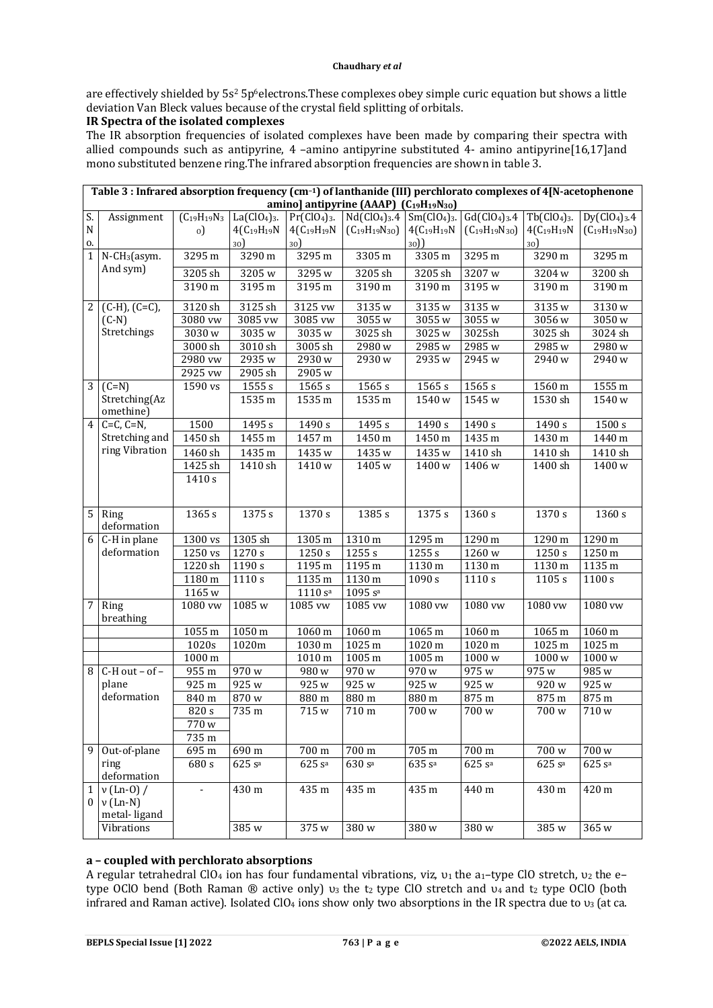are effectively shielded by 5s<sup>2</sup> 5p<sup>6</sup>electrons. These complexes obey simple curic equation but shows a little deviation Van Bleck values because of the crystal field splitting of orbitals.

# **IR Spectra of the isolated complexes**

The IR absorption frequencies of isolated complexes have been made by comparing their spectra with allied compounds such as antipyrine, 4 –amino antipyrine substituted 4- amino antipyrine[16,17]and mono substituted benzene ring.The infrared absorption frequencies are shown in table 3.

|                 | Table 3 : Infrared absorption frequency (cm-1) of lanthanide (III) perchlorato complexes of 4[N-acetophenone<br>amino] antipyrine (AAAP) (C19H19N30) |                          |                           |                           |                                                    |                           |                        |                           |                        |
|-----------------|------------------------------------------------------------------------------------------------------------------------------------------------------|--------------------------|---------------------------|---------------------------|----------------------------------------------------|---------------------------|------------------------|---------------------------|------------------------|
|                 |                                                                                                                                                      |                          |                           |                           |                                                    |                           |                        |                           |                        |
| S.              | Assignment                                                                                                                                           | $(C_{19}H_{19}N_3)$      | $La(CIO4)3$ .             | $Pr(ClO4)3$ .             | $Nd(ClO4)3.4$ Sm(ClO <sub>4</sub> ) <sub>3</sub> . |                           | Gd(C104)3.4            | $Tb(C104)$ <sub>3</sub> . | $Dy(C1O4)3$ .4         |
| ${\bf N}$<br>0. |                                                                                                                                                      | $_{0}$                   | $4(C_{19}H_{19}N)$<br>30) | $4(C_{19}H_{19}N)$<br>30) | $(C_{19}H_{19}N_{30})$                             | $4(C_{19}H_{19}N)$<br>30) | $(C_{19}H_{19}N_{30})$ | $4(C_{19}H_{19}N)$<br>30) | $(C_{19}H_{19}N_{30})$ |
| 1               | N-CH <sub>3</sub> (asym.                                                                                                                             | 3295 m                   | 3290 m                    | 3295 m                    | 3305 m                                             | 3305 m                    | 3295 m                 | 3290 m                    | 3295 m                 |
|                 | And sym)                                                                                                                                             | 3205 sh                  | 3205 w                    | 3295 w                    | 3205 sh                                            | 3205 sh                   | 3207 w                 | 3204 w                    | 3200 sh                |
|                 |                                                                                                                                                      | 3190 m                   | 3195 m                    | 3195 m                    | 3190 m                                             | 3190 m                    | 3195 w                 | 3190 m                    | 3190 m                 |
|                 |                                                                                                                                                      |                          |                           |                           |                                                    |                           |                        |                           |                        |
| $\overline{2}$  | $(C-H)$ , $(C=C)$ ,                                                                                                                                  | 3120 sh                  | 3125 sh                   | 3125 vw                   | 3135 w                                             | 3135 w                    | 3135 w                 | 3135 w                    | 3130 w                 |
|                 | $(C-N)$                                                                                                                                              | 3080 vw                  | 3085 vw                   | 3085 vw                   | 3055 w                                             | 3055 w                    | 3055 w                 | 3056w                     | $\overline{3050}$ w    |
|                 | Stretchings                                                                                                                                          | 3030w                    | 3035w                     | 3035 w                    | 3025sh                                             | 3025 w                    | 3025sh                 | 3025 sh                   | 3024 sh                |
|                 |                                                                                                                                                      | 3000 sh                  | 3010 sh                   | $3005$ sh                 | 2980w                                              | 2985w                     | 2985 w                 | 2985w                     | 2980 <sub>w</sub>      |
|                 |                                                                                                                                                      | 2980 vw                  | 2935 w                    | 2930w                     | 2930w                                              | 2935 w                    | 2945 w                 | 2940 w                    | 2940 w                 |
|                 |                                                                                                                                                      | 2925 vw                  | 2905 sh                   | 2905w                     |                                                    |                           |                        |                           |                        |
| $\overline{3}$  | $\overline{(C=N)}$                                                                                                                                   | 1590 vs                  | $1555\,\mathrm{s}$        | 1565 s                    | 1565 s                                             | 1565 s                    | 1565 s                 | 1560 m                    | 1555 m                 |
|                 | Stretching(Az<br>omethine)                                                                                                                           |                          | 1535 m                    | 1535 m                    | 1535 m                                             | 1540 w                    | 1545 w                 | 1530 sh                   | 1540 w                 |
| $\overline{4}$  | $C=C, C=N,$                                                                                                                                          | 1500                     | 1495 s                    | 1490 s                    | 1495 s                                             | 1490 s                    | 1490 s                 | $\frac{1}{490}$ s         | 1500 s                 |
|                 | Stretching and                                                                                                                                       | 1450 sh                  | 1455 m                    | 1457 m                    | 1450 m                                             | 1450 m                    | 1435 m                 | 1430 m                    | 1440 m                 |
|                 | ring Vibration                                                                                                                                       | 1460 sh                  | 1435 m                    | 1435 w                    | 1435 w                                             | 1435 w                    | 1410 sh                | 1410 sh                   | 1410 sh                |
|                 |                                                                                                                                                      | 1425 sh                  | 1410 sh                   | 1410w                     | 1405 w                                             | 1400w                     | 1406 w                 | 1400 sh                   | 1400w                  |
|                 |                                                                                                                                                      | 1410 s                   |                           |                           |                                                    |                           |                        |                           |                        |
|                 |                                                                                                                                                      |                          |                           |                           |                                                    |                           |                        |                           |                        |
|                 |                                                                                                                                                      |                          |                           |                           |                                                    |                           |                        |                           |                        |
| $\overline{5}$  | Ring<br>deformation                                                                                                                                  | 1365 s                   | $\overline{1375}$ s       | 1370 s                    | 1385 s                                             | 1375 s                    | 1360 s                 | 1370 s                    | 1360 s                 |
| $\overline{6}$  | C-H in plane                                                                                                                                         | 1300 vs                  | 1305 sh                   |                           | 1310 m                                             | 1295 m                    | 1290 m                 | 1290 m                    | 1290 m                 |
|                 | deformation                                                                                                                                          | 1250 vs                  | 1270 s                    | 1305 m<br>1250 s          | 1255 s                                             | 1255 s                    | 1260 w                 | 1250 s                    | 1250 m                 |
|                 |                                                                                                                                                      | 1220 sh                  | 1190 s                    | 1195 m                    | 1195 m                                             | 1130 m                    | 1130 m                 | 1130 m                    | 1135 m                 |
|                 |                                                                                                                                                      | 1180 m                   | 1110 s                    | 1135 m                    | 1130 m                                             | 1090 s                    | 1110 s                 | 1105 s                    | 1100 s                 |
|                 |                                                                                                                                                      | 1165w                    |                           | $\overline{111}0s^a$      | 1095 s <sup>a</sup>                                |                           |                        |                           |                        |
| $\overline{7}$  | Ring                                                                                                                                                 | 1080 vw                  | 1085w                     | 1085 vw                   | 1085 vw                                            | 1080 vw                   | 1080 vw                | 1080 vw                   | 1080 vw                |
|                 | breathing                                                                                                                                            |                          |                           |                           |                                                    |                           |                        |                           |                        |
|                 |                                                                                                                                                      | 1055 m                   | 1050 m                    | 1060 m                    | 1060 m                                             | 1065 m                    | 1060 m                 | 1065 m                    | 1060 m                 |
|                 |                                                                                                                                                      | 1020s                    | 1020m                     | 1030 m                    | 1025 m                                             | 1020 m                    | 1020 m                 | 1025 m                    | 1025 m                 |
|                 |                                                                                                                                                      | $1000 \,\mathrm{m}$      |                           | 1010 m                    | 1005 m                                             | 1005 m                    | 1000w                  | 1000w                     | 1000w                  |
| 8               | $C-H$ out - of -                                                                                                                                     | 955 m                    | 970w                      | 980w                      | 970 w                                              | 970w                      | 975 w                  | 975 w                     | 985 w                  |
|                 | plane                                                                                                                                                | 925 m                    | 925 w                     | 925 w                     | 925 w                                              | 925 <sub>w</sub>          | 925 w                  | 920 w                     | 925 w                  |
|                 | deformation                                                                                                                                          | 840 m                    | 870w                      | 880 m                     | 880 m                                              | 880 m                     | 875 m                  | 875 m                     | $875 \text{ m}$        |
|                 |                                                                                                                                                      | 820 s                    | 735 m                     | 715 w                     | 710 m                                              | 700 w                     | 700w                   | 700w                      | 710w                   |
|                 |                                                                                                                                                      | 770 w                    |                           |                           |                                                    |                           |                        |                           |                        |
|                 |                                                                                                                                                      | 735 m                    |                           |                           |                                                    |                           |                        |                           |                        |
| 9               | Out-of-plane                                                                                                                                         | 695 m                    | 690 m                     | 700 m                     | 700 m                                              | 705 m                     | 700 m                  | 700w                      | 700w                   |
|                 | ring                                                                                                                                                 | 680 s                    | 625 s <sup>a</sup>        | 625 s <sup>a</sup>        | 630 s <sup>a</sup>                                 | 635 s <sup>a</sup>        | 625 s <sup>a</sup>     | 625 s <sup>a</sup>        | 625 s <sup>a</sup>     |
|                 | deformation                                                                                                                                          |                          |                           |                           |                                                    |                           |                        |                           |                        |
| $\mathbf{1}$    | $\overline{v}$ (Ln-0) /                                                                                                                              | $\overline{\phantom{0}}$ | 430 m                     | 435 m                     | 435 m                                              | 435 m                     | 440 m                  | 430 m                     | 420 m                  |
| $\mathbf{0}$    | $v$ (Ln-N)                                                                                                                                           |                          |                           |                           |                                                    |                           |                        |                           |                        |
|                 | metal-ligand                                                                                                                                         |                          |                           |                           |                                                    |                           |                        |                           |                        |
|                 | Vibrations                                                                                                                                           |                          | 385 w                     | 375 w                     | 380 w                                              | $\overline{380}$ w        | 380 w                  | 385 w                     | 365 w                  |

# **a – coupled with perchlorato absorptions**

A regular tetrahedral ClO<sub>4</sub> ion has four fundamental vibrations, viz,  $v_1$  the a<sub>1</sub>-type ClO stretch,  $v_2$  the etype OClO bend (Both Raman  $\otimes$  active only)  $v_3$  the t<sub>2</sub> type ClO stretch and  $v_4$  and t<sub>2</sub> type OClO (both infrared and Raman active). Isolated ClO<sub>4</sub> ions show only two absorptions in the IR spectra due to  $v_3$  (at ca.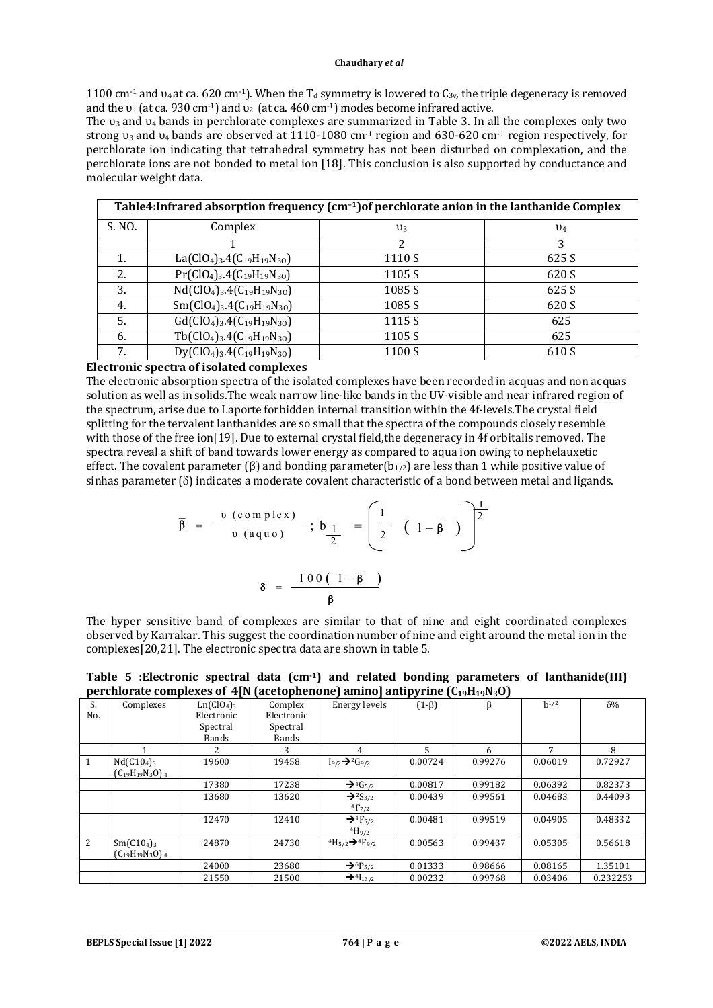1100 cm<sup>-1</sup> and  $u_4$  at ca. 620 cm<sup>-1</sup>). When the T<sub>d</sub> symmetry is lowered to C<sub>3v</sub>, the triple degeneracy is removed and the  $v_1$  (at ca. 930 cm<sup>-1</sup>) and  $v_2$  (at ca. 460 cm<sup>-1</sup>) modes become infrared active.

The  $v_3$  and  $v_4$  bands in perchlorate complexes are summarized in Table 3. In all the complexes only two strong υ3 and υ4 bands are observed at 1110-1080 cm-1 region and 630-620 cm-1 region respectively, for perchlorate ion indicating that tetrahedral symmetry has not been disturbed on complexation, and the perchlorate ions are not bonded to metal ion [18]. This conclusion is also supported by conductance and molecular weight data.

| Table4: Infrared absorption frequency (cm <sup>-1</sup> ) of perchlorate anion in the lanthanide Complex |                                                                                         |        |                |  |  |  |  |  |
|----------------------------------------------------------------------------------------------------------|-----------------------------------------------------------------------------------------|--------|----------------|--|--|--|--|--|
| S. NO.                                                                                                   | Complex                                                                                 | $v_3$  | $\mathsf{U}_4$ |  |  |  |  |  |
|                                                                                                          |                                                                                         | 2      | 3              |  |  |  |  |  |
|                                                                                                          | La(ClO <sub>4</sub> ) <sub>3</sub> .4(C <sub>19</sub> H <sub>19</sub> N <sub>30</sub> ) | 1110 S | 625 S          |  |  |  |  |  |
| 2.                                                                                                       | $Pr(CIO4)3.4(C19H19N30)$                                                                | 1105 S | 620 S          |  |  |  |  |  |
| 3.                                                                                                       | $Nd(CIO4)3.4(C19H19N30)$                                                                | 1085 S | 625 S          |  |  |  |  |  |
| 4.                                                                                                       | $Sm(ClO4)3.4(C19H19N30)$                                                                | 1085 S | 620 S          |  |  |  |  |  |
| 5.                                                                                                       | $Gd(CIO4)3.4(C19H19N30)$                                                                | 1115 S | 625            |  |  |  |  |  |
| 6.                                                                                                       | $Tb(C104)3.4(C19H19N30)$                                                                | 1105 S | 625            |  |  |  |  |  |
| 7.                                                                                                       | $Dy(CIO4)3.4(C19H19N30)$                                                                | 1100 S | 610 S          |  |  |  |  |  |

### **Electronic spectra of isolated complexes**

The electronic absorption spectra of the isolated complexes have been recorded in acquas and non acquas solution as well as in solids.The weak narrow line-like bands in the UV-visible and near infrared region of the spectrum, arise due to Laporte forbidden internal transition within the 4f-levels.The crystal field splitting for the tervalent lanthanides are so small that the spectra of the compounds closely resemble with those of the free ion[19]. Due to external crystal field, the degeneracy in 4f orbitalis removed. The spectra reveal a shift of band towards lower energy as compared to aqua ion owing to nephelauxetic effect. The covalent parameter ( $\beta$ ) and bonding parameter( $b_{1/2}$ ) are less than 1 while positive value of sinhas parameter ( $\delta$ ) indicates a moderate covalent characteristic of a bond between metal and ligands.

$$
\overline{\beta} = \frac{\nu \text{ (complex)}}{\nu \text{ (aquo)}}; b_{\frac{1}{2}} = \left(\frac{1}{2} \left(1 - \overline{\beta}\right)\right)^{\frac{1}{2}}
$$

$$
\delta = \frac{100(1 - \overline{\beta})}{\beta}
$$

The hyper sensitive band of complexes are similar to that of nine and eight coordinated complexes observed by Karrakar. This suggest the coordination number of nine and eight around the metal ion in the complexes[20,21]. The electronic spectra data are shown in table 5.

**Table 5 :Electronic spectral data (cm-1) and related bonding parameters of lanthanide(III) perchlorate complexes of 4[N (acetophenone) amino] antipyrine (C19H19N3O)**

|                |                                    | $\sim$ $\sim$ $\sim$               |            |                                             |             |         |           |            |
|----------------|------------------------------------|------------------------------------|------------|---------------------------------------------|-------------|---------|-----------|------------|
| S.             | Complexes                          | Ln(C10 <sub>4</sub> ) <sub>3</sub> | Complex    | Energy levels                               | $(1-\beta)$ | β       | $h^{1/2}$ | $\delta\%$ |
| No.            |                                    | Electronic                         | Electronic |                                             |             |         |           |            |
|                |                                    | Spectral                           | Spectral   |                                             |             |         |           |            |
|                |                                    | Bands                              | Bands      |                                             |             |         |           |            |
|                |                                    | 2.                                 |            | 4                                           | 5           | 6       | 7         | 8          |
| 1              | Nd(C10 <sub>4</sub> ) <sub>3</sub> | 19600                              | 19458      | $I_{9/2} \rightarrow 2G_{9/2}$              | 0.00724     | 0.99276 | 0.06019   | 0.72927    |
|                | $(C_{19}H_{19}N_3O)$ 4             |                                    |            |                                             |             |         |           |            |
|                |                                    | 17380                              | 17238      | $\rightarrow$ <sup>4</sup> G <sub>5/2</sub> | 0.00817     | 0.99182 | 0.06392   | 0.82373    |
|                |                                    | 13680                              | 13620      | $\rightarrow$ <sup>2</sup> S <sub>3/2</sub> | 0.00439     | 0.99561 | 0.04683   | 0.44093    |
|                |                                    |                                    |            | $^{4}F_{7/2}$                               |             |         |           |            |
|                |                                    | 12470                              | 12410      | $\rightarrow$ <sup>4</sup> F <sub>5/2</sub> | 0.00481     | 0.99519 | 0.04905   | 0.48332    |
|                |                                    |                                    |            | $^{4}H_{9/2}$                               |             |         |           |            |
| $\overline{2}$ | Sm(C10 <sub>4</sub> ) <sub>3</sub> | 24870                              | 24730      | $^{4}H_{5/2} \rightarrow ^{4}F_{9/2}$       | 0.00563     | 0.99437 | 0.05305   | 0.56618    |
|                | $(C_{19}H_{19}N_3O)$ 4             |                                    |            |                                             |             |         |           |            |
|                |                                    | 24000                              | 23680      | $\rightarrow$ 6P <sub>5/2</sub>             | 0.01333     | 0.98666 | 0.08165   | 1.35101    |
|                |                                    | 21550                              | 21500      | $\rightarrow$ <sup>4</sup> $I_{13/2}$       | 0.00232     | 0.99768 | 0.03406   | 0.232253   |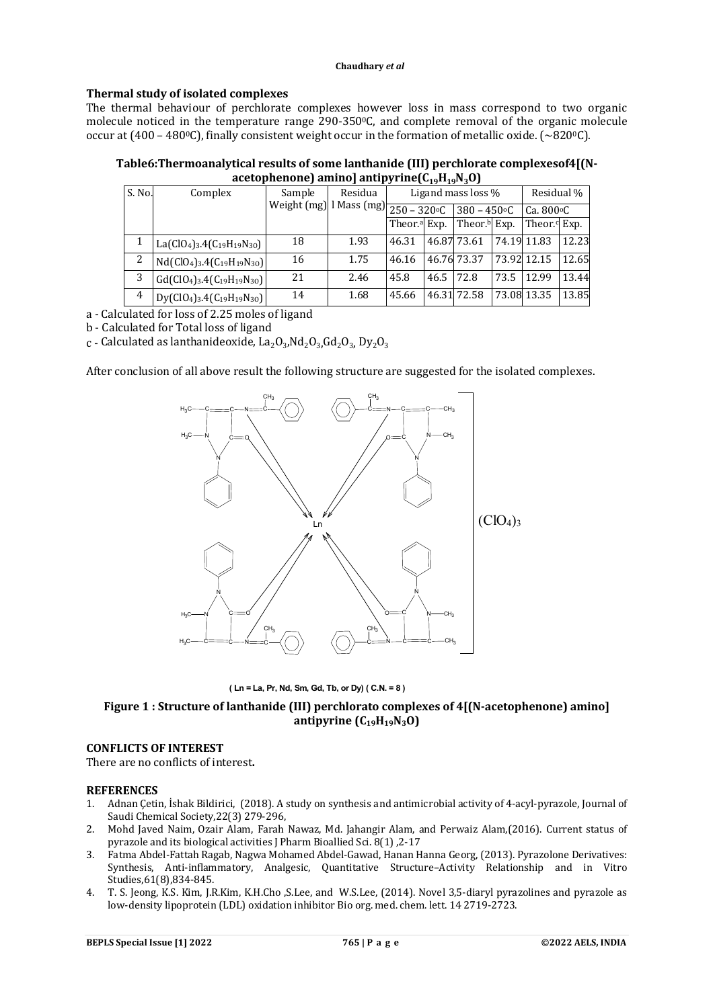# **Thermal study of isolated complexes**

The thermal behaviour of perchlorate complexes however loss in mass correspond to two organic molecule noticed in the temperature range 290-3500C, and complete removal of the organic molecule occur at (400 – 480°C), finally consistent weight occur in the formation of metallic oxide. (~820°C).

# **Table6:Thermoanalytical results of some lanthanide (III) perchlorate complexesof4[(N-** $\text{acceptophenone}$ )  $\text{amino}$ ]  $\text{antipyrine}(C_{19}H_{19}N_{2}O)$

|                |                                                                                         |        | . .     |                                                            | .    |                          |      |                          |       |
|----------------|-----------------------------------------------------------------------------------------|--------|---------|------------------------------------------------------------|------|--------------------------|------|--------------------------|-------|
| S. No.         | Complex                                                                                 | Sample | Residua |                                                            |      | Ligand mass loss %       |      | Residual %               |       |
|                |                                                                                         |        |         | Weight $(mg)$   Mass $(mg)$ $\frac{1}{250 - 320^{\circ}C}$ |      | $380 - 450$ °C           |      | Ca. $800 \circ C$        |       |
|                |                                                                                         |        |         | Theor. <sup>a</sup> Exp.                                   |      | Theor. <sup>b</sup> Exp. |      | Theor. <sup>d</sup> Exp. |       |
|                | La(ClO <sub>4</sub> ) <sub>3</sub> .4(C <sub>19</sub> H <sub>19</sub> N <sub>30</sub> ) | 18     | 1.93    | 46.31                                                      |      | 46.87 73.61              |      | 74.19 11.83              | 12.23 |
| 2              | $Nd(CIO4)3.4(C19H19N30)$                                                                | 16     | 1.75    | 46.16                                                      |      | 46.76 73.37              |      | 73.92 12.15              | 12.65 |
| 3              | $Gd(CIO4)3.4(C19H19N30)$                                                                | 21     | 2.46    | 45.8                                                       | 46.5 | 72.8                     | 73.5 | 12.99                    | 13.44 |
| $\overline{4}$ | $Dy(ClO4)3.4(C19H19N30)$                                                                | 14     | 1.68    | 45.66                                                      |      | 46.31 72.58              |      | 73.08 13.35              | 13.85 |

a - Calculated for loss of 2.25 moles of ligand

b - Calculated for Total loss of ligand

 $\rm c$  - Calculated as lanthanideoxide, La $\rm _2O_3$ ,Nd $\rm _2O_3$ ,Gd $\rm _2O_3$ , Dy $\rm _2O_3$ 

After conclusion of all above result the following structure are suggested for the isolated complexes.



**( Ln = La, Pr, Nd, Sm, Gd, Tb, or Dy) ( C.N. = 8 )**

# **Figure 1 : Structure of lanthanide (III) perchlorato complexes of 4[(N-acetophenone) amino] antipyrine (C19H19N3O)**

# **CONFLICTS OF INTEREST**

There are no conflicts of interest**.**

### **REFERENCES**

- 1. Adnan Çetin, İshak Bildirici, (2018). A study on synthesis and antimicrobial activity of 4-acyl-pyrazole, Journal of Saudi Chemical Society,22(3) 279-296,
- 2. Mohd Javed Naim, Ozair Alam, Farah Nawaz, Md. Jahangir Alam, and Perwaiz Alam,(2016). Current status of pyrazole and its biological activities J Pharm Bioallied Sci. 8(1) ,2-17
- 3. Fatma Abdel-Fattah Ragab, Nagwa Mohamed Abdel-Gawad, Hanan Hanna Georg, (2013). Pyrazolone Derivatives: Synthesis, Anti-inflammatory, Analgesic, Quantitative Structure–Activity Relationship and in Vitro Studies,61(8),834-845.
- 4. T. S. Jeong, K.S. Kim, J.R.Kim, K.H.Cho ,S.Lee, and W.S.Lee, (2014). Novel 3,5-diaryl pyrazolines and pyrazole as low-density lipoprotein (LDL) oxidation inhibitor Bio org. med. chem. lett. 14 2719-2723.